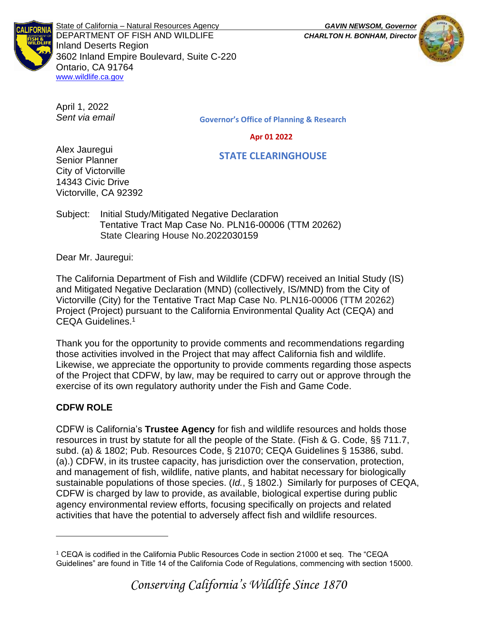

State of California – Natural Resources Agency *GAVIN NEWSOM, Governor* DEPARTMENT OF FISH AND WILDLIFE *CHARLTON H. BONHAM, Director*  Inland Deserts Region 3602 Inland Empire Boulevard, Suite C-220 Ontario, CA 91764 [www.wildlife.ca.gov](http://www.wildlife.ca.gov/)

April 1, 2022 *Sent via email*

Alex Jauregui Senior Planner City of Victorville 14343 Civic Drive Victorville, CA 92392 Governor's Office of Planning & Research

Apr 01 2022

STATE CLEARINGHOUSE

Subject: Initial Study/Mitigated Negative Declaration Tentative Tract Map Case No. PLN16-00006 (TTM 20262) State Clearing House No.2022030159

Dear Mr. Jauregui:

The California Department of Fish and Wildlife (CDFW) received an Initial Study (IS) and Mitigated Negative Declaration (MND) (collectively, IS/MND) from the City of Victorville (City) for the Tentative Tract Map Case No. PLN16-00006 (TTM 20262) Project (Project) pursuant to the California Environmental Quality Act (CEQA) and CEQA Guidelines.<sup>1</sup>

Thank you for the opportunity to provide comments and recommendations regarding those activities involved in the Project that may affect California fish and wildlife. Likewise, we appreciate the opportunity to provide comments regarding those aspects of the Project that CDFW, by law, may be required to carry out or approve through the exercise of its own regulatory authority under the Fish and Game Code.

# **CDFW ROLE**

CDFW is California's **Trustee Agency** for fish and wildlife resources and holds those resources in trust by statute for all the people of the State. (Fish & G. Code, §§ 711.7, subd. (a) & 1802; Pub. Resources Code, § 21070; CEQA Guidelines § 15386, subd. (a).) CDFW, in its trustee capacity, has jurisdiction over the conservation, protection, and management of fish, wildlife, native plants, and habitat necessary for biologically sustainable populations of those species. (*Id.*, § 1802.) Similarly for purposes of CEQA, CDFW is charged by law to provide, as available, biological expertise during public agency environmental review efforts, focusing specifically on projects and related activities that have the potential to adversely affect fish and wildlife resources.





<sup>1</sup> CEQA is codified in the California Public Resources Code in section 21000 et seq. The "CEQA Guidelines" are found in Title 14 of the California Code of Regulations, commencing with section 15000.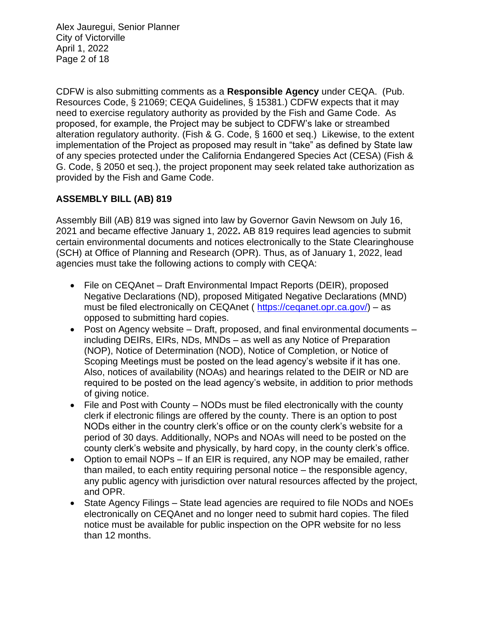Alex Jauregui, Senior Planner City of Victorville April 1, 2022 Page 2 of 18

CDFW is also submitting comments as a **Responsible Agency** under CEQA. (Pub. Resources Code, § 21069; CEQA Guidelines, § 15381.) CDFW expects that it may need to exercise regulatory authority as provided by the Fish and Game Code. As proposed, for example, the Project may be subject to CDFW's lake or streambed alteration regulatory authority. (Fish & G. Code, § 1600 et seq.) Likewise, to the extent implementation of the Project as proposed may result in "take" as defined by State law of any species protected under the California Endangered Species Act (CESA) (Fish & G. Code, § 2050 et seq.), the project proponent may seek related take authorization as provided by the Fish and Game Code.

## **ASSEMBLY BILL (AB) 819**

Assembly Bill (AB) 819 was signed into law by Governor Gavin Newsom on July 16, 2021 and became effective January 1, 2022**.** AB 819 requires lead agencies to submit certain environmental documents and notices electronically to the State Clearinghouse (SCH) at Office of Planning and Research (OPR). Thus, as of January 1, 2022, lead agencies must take the following actions to comply with CEQA:

- File on CEQAnet Draft Environmental Impact Reports (DEIR), proposed Negative Declarations (ND), proposed Mitigated Negative Declarations (MND) must be filed electronically on CEQAnet ( [https://ceqanet.opr.ca.gov/\)](https://ceqanet.opr.ca.gov/) – as opposed to submitting hard copies.
- Post on Agency website Draft, proposed, and final environmental documents including DEIRs, EIRs, NDs, MNDs – as well as any Notice of Preparation (NOP), Notice of Determination (NOD), Notice of Completion, or Notice of Scoping Meetings must be posted on the lead agency's website if it has one. Also, notices of availability (NOAs) and hearings related to the DEIR or ND are required to be posted on the lead agency's website, in addition to prior methods of giving notice.
- File and Post with County NODs must be filed electronically with the county clerk if electronic filings are offered by the county. There is an option to post NODs either in the country clerk's office or on the county clerk's website for a period of 30 days. Additionally, NOPs and NOAs will need to be posted on the county clerk's website and physically, by hard copy, in the county clerk's office.
- Option to email NOPs If an EIR is required, any NOP may be emailed, rather than mailed, to each entity requiring personal notice – the responsible agency, any public agency with jurisdiction over natural resources affected by the project, and OPR.
- State Agency Filings State lead agencies are required to file NODs and NOEs electronically on CEQAnet and no longer need to submit hard copies. The filed notice must be available for public inspection on the OPR website for no less than 12 months.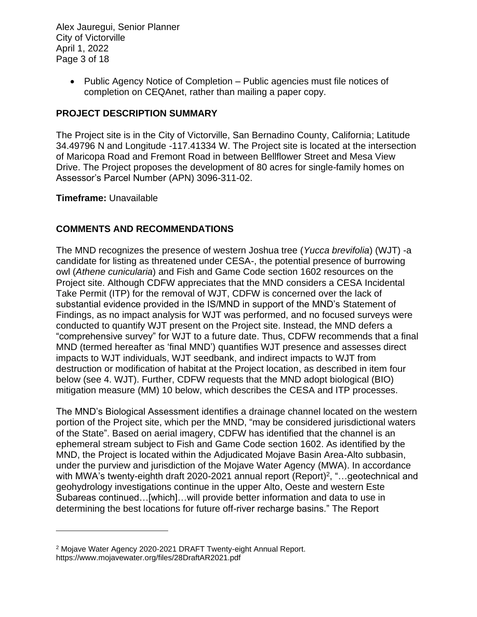Alex Jauregui, Senior Planner City of Victorville April 1, 2022 Page 3 of 18

> • Public Agency Notice of Completion – Public agencies must file notices of completion on CEQAnet, rather than mailing a paper copy.

## **PROJECT DESCRIPTION SUMMARY**

The Project site is in the City of Victorville, San Bernadino County, California; Latitude 34.49796 N and Longitude -117.41334 W. The Project site is located at the intersection of Maricopa Road and Fremont Road in between Bellflower Street and Mesa View Drive. The Project proposes the development of 80 acres for single-family homes on Assessor's Parcel Number (APN) 3096-311-02.

#### **Timeframe:** Unavailable

## **COMMENTS AND RECOMMENDATIONS**

The MND recognizes the presence of western Joshua tree (*Yucca brevifolia*) (WJT) -a candidate for listing as threatened under CESA-, the potential presence of burrowing owl (*Athene cunicularia*) and Fish and Game Code section 1602 resources on the Project site. Although CDFW appreciates that the MND considers a CESA Incidental Take Permit (ITP) for the removal of WJT, CDFW is concerned over the lack of substantial evidence provided in the IS/MND in support of the MND's Statement of Findings, as no impact analysis for WJT was performed, and no focused surveys were conducted to quantify WJT present on the Project site. Instead, the MND defers a "comprehensive survey" for WJT to a future date. Thus, CDFW recommends that a final MND (termed hereafter as 'final MND') quantifies WJT presence and assesses direct impacts to WJT individuals, WJT seedbank, and indirect impacts to WJT from destruction or modification of habitat at the Project location, as described in item four below (see 4. WJT). Further, CDFW requests that the MND adopt biological (BIO) mitigation measure (MM) 10 below, which describes the CESA and ITP processes.

The MND's Biological Assessment identifies a drainage channel located on the western portion of the Project site, which per the MND, "may be considered jurisdictional waters of the State". Based on aerial imagery, CDFW has identified that the channel is an ephemeral stream subject to Fish and Game Code section 1602. As identified by the MND, the Project is located within the Adjudicated Mojave Basin Area-Alto subbasin, under the purview and jurisdiction of the Mojave Water Agency (MWA). In accordance with MWA's twenty-eighth draft 2020-2021 annual report (Report)<sup>2</sup>, "...geotechnical and geohydrology investigations continue in the upper Alto, Oeste and western Este Subareas continued…[which]…will provide better information and data to use in determining the best locations for future off-river recharge basins." The Report

<sup>2</sup> Mojave Water Agency 2020-2021 DRAFT Twenty-eight Annual Report. https://www.mojavewater.org/files/28DraftAR2021.pdf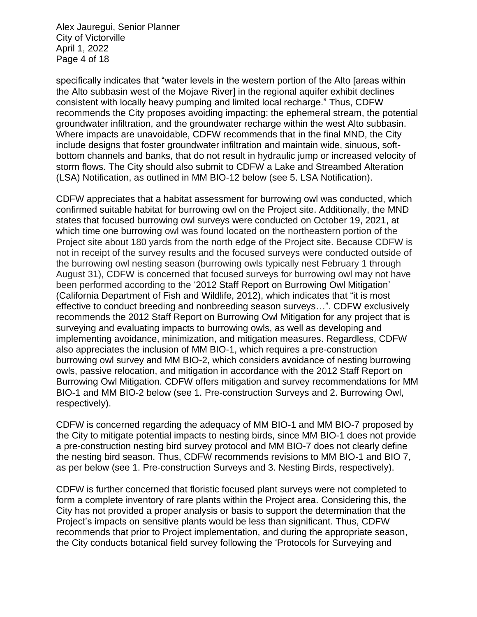Alex Jauregui, Senior Planner City of Victorville April 1, 2022 Page 4 of 18

specifically indicates that "water levels in the western portion of the Alto [areas within the Alto subbasin west of the Mojave River] in the regional aquifer exhibit declines consistent with locally heavy pumping and limited local recharge." Thus, CDFW recommends the City proposes avoiding impacting: the ephemeral stream, the potential groundwater infiltration, and the groundwater recharge within the west Alto subbasin. Where impacts are unavoidable, CDFW recommends that in the final MND, the City include designs that foster groundwater infiltration and maintain wide, sinuous, softbottom channels and banks, that do not result in hydraulic jump or increased velocity of storm flows. The City should also submit to CDFW a Lake and Streambed Alteration (LSA) Notification, as outlined in MM BIO-12 below (see 5. LSA Notification).

CDFW appreciates that a habitat assessment for burrowing owl was conducted, which confirmed suitable habitat for burrowing owl on the Project site. Additionally, the MND states that focused burrowing owl surveys were conducted on October 19, 2021, at which time one burrowing owl was found located on the northeastern portion of the Project site about 180 yards from the north edge of the Project site. Because CDFW is not in receipt of the survey results and the focused surveys were conducted outside of the burrowing owl nesting season (burrowing owls typically nest February 1 through August 31), CDFW is concerned that focused surveys for burrowing owl may not have been performed according to the '2012 Staff Report on Burrowing Owl Mitigation' (California Department of Fish and Wildlife, 2012), which indicates that "it is most effective to conduct breeding and nonbreeding season surveys…". CDFW exclusively recommends the 2012 Staff Report on Burrowing Owl Mitigation for any project that is surveying and evaluating impacts to burrowing owls, as well as developing and implementing avoidance, minimization, and mitigation measures. Regardless, CDFW also appreciates the inclusion of MM BIO-1, which requires a pre-construction burrowing owl survey and MM BIO-2, which considers avoidance of nesting burrowing owls, passive relocation, and mitigation in accordance with the 2012 Staff Report on Burrowing Owl Mitigation. CDFW offers mitigation and survey recommendations for MM BIO-1 and MM BIO-2 below (see 1. Pre-construction Surveys and 2. Burrowing Owl, respectively).

CDFW is concerned regarding the adequacy of MM BIO-1 and MM BIO-7 proposed by the City to mitigate potential impacts to nesting birds, since MM BIO-1 does not provide a pre-construction nesting bird survey protocol and MM BIO-7 does not clearly define the nesting bird season. Thus, CDFW recommends revisions to MM BIO-1 and BIO 7, as per below (see 1. Pre-construction Surveys and 3. Nesting Birds, respectively).

CDFW is further concerned that floristic focused plant surveys were not completed to form a complete inventory of rare plants within the Project area. Considering this, the City has not provided a proper analysis or basis to support the determination that the Project's impacts on sensitive plants would be less than significant. Thus, CDFW recommends that prior to Project implementation, and during the appropriate season, the City conducts botanical field survey following the 'Protocols for Surveying and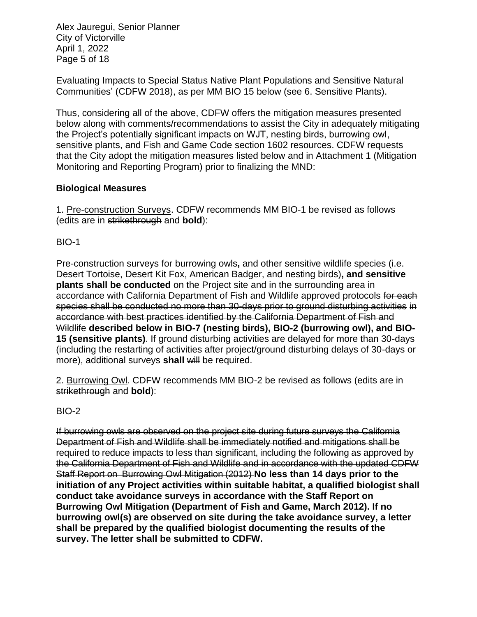Alex Jauregui, Senior Planner City of Victorville April 1, 2022 Page 5 of 18

Evaluating Impacts to Special Status Native Plant Populations and Sensitive Natural Communities' (CDFW 2018), as per MM BIO 15 below (see 6. Sensitive Plants).

Thus, considering all of the above, CDFW offers the mitigation measures presented below along with comments/recommendations to assist the City in adequately mitigating the Project's potentially significant impacts on WJT, nesting birds, burrowing owl, sensitive plants, and Fish and Game Code section 1602 resources. CDFW requests that the City adopt the mitigation measures listed below and in Attachment 1 (Mitigation Monitoring and Reporting Program) prior to finalizing the MND:

## **Biological Measures**

1. Pre-construction Surveys. CDFW recommends MM BIO-1 be revised as follows (edits are in strikethrough and **bold**):

BIO-1

Pre-construction surveys for burrowing owls**,** and other sensitive wildlife species (i.e. Desert Tortoise, Desert Kit Fox, American Badger, and nesting birds)**, and sensitive plants shall be conducted** on the Project site and in the surrounding area in accordance with California Department of Fish and Wildlife approved protocols for each species shall be conducted no more than 30-days prior to ground disturbing activities in accordance with best practices identified by the California Department of Fish and Wildlife **described below in BIO-7 (nesting birds), BIO-2 (burrowing owl), and BIO-15 (sensitive plants)**. If ground disturbing activities are delayed for more than 30-days (including the restarting of activities after project/ground disturbing delays of 30-days or more), additional surveys **shall** will be required.

2. Burrowing Owl. CDFW recommends MM BIO-2 be revised as follows (edits are in strikethrough and **bold**):

BIO-2

If burrowing owls are observed on the project site during future surveys the California Department of Fish and Wildlife shall be immediately notified and mitigations shall be required to reduce impacts to less than significant, including the following as approved by the California Department of Fish and Wildlife and in accordance with the updated CDFW Staff Report on Burrowing Owl Mitigation (2012) **No less than 14 days prior to the initiation of any Project activities within suitable habitat, a qualified biologist shall conduct take avoidance surveys in accordance with the Staff Report on Burrowing Owl Mitigation (Department of Fish and Game, March 2012). If no burrowing owl(s) are observed on site during the take avoidance survey, a letter shall be prepared by the qualified biologist documenting the results of the survey. The letter shall be submitted to CDFW.**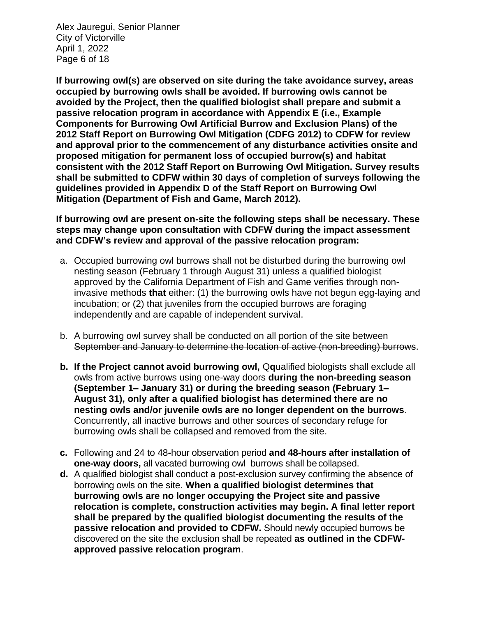Alex Jauregui, Senior Planner City of Victorville April 1, 2022 Page 6 of 18

**If burrowing owl(s) are observed on site during the take avoidance survey, areas occupied by burrowing owls shall be avoided. If burrowing owls cannot be avoided by the Project, then the qualified biologist shall prepare and submit a passive relocation program in accordance with Appendix E (i.e., Example Components for Burrowing Owl Artificial Burrow and Exclusion Plans) of the 2012 Staff Report on Burrowing Owl Mitigation (CDFG 2012) to CDFW for review and approval prior to the commencement of any disturbance activities onsite and proposed mitigation for permanent loss of occupied burrow(s) and habitat consistent with the 2012 Staff Report on Burrowing Owl Mitigation. Survey results shall be submitted to CDFW within 30 days of completion of surveys following the guidelines provided in Appendix D of the Staff Report on Burrowing Owl Mitigation (Department of Fish and Game, March 2012).** 

**If burrowing owl are present on-site the following steps shall be necessary. These steps may change upon consultation with CDFW during the impact assessment and CDFW's review and approval of the passive relocation program:**

- a. Occupied burrowing owl burrows shall not be disturbed during the burrowing owl nesting season (February 1 through August 31) unless a qualified biologist approved by the California Department of Fish and Game verifies through noninvasive methods **that** either: (1) the burrowing owls have not begun egg-laying and incubation; or (2) that juveniles from the occupied burrows are foraging independently and are capable of independent survival.
- b. A burrowing owl survey shall be conducted on all portion of the site between September and January to determine the location of active (non-breeding) burrows.
- **b.** If the Project cannot avoid burrowing owl, Qqualified biologists shall exclude all owls from active burrows using one-way doors **during the non-breeding season (September 1– January 31) or during the breeding season (February 1– August 31), only after a qualified biologist has determined there are no nesting owls and/or juvenile owls are no longer dependent on the burrows**. Concurrently, all inactive burrows and other sources of secondary refuge for burrowing owls shall be collapsed and removed from the site.
- **c.** Following and 24 to 48**-**hour observation period **and 48-hours after installation of one-way doors,** all vacated burrowing owl burrows shall be collapsed.
- **d.** A qualified biologist shall conduct a post-exclusion survey confirming the absence of borrowing owls on the site. **When a qualified biologist determines that burrowing owls are no longer occupying the Project site and passive relocation is complete, construction activities may begin. A final letter report shall be prepared by the qualified biologist documenting the results of the passive relocation and provided to CDFW.** Should newly occupied burrows be discovered on the site the exclusion shall be repeated **as outlined in the CDFWapproved passive relocation program**.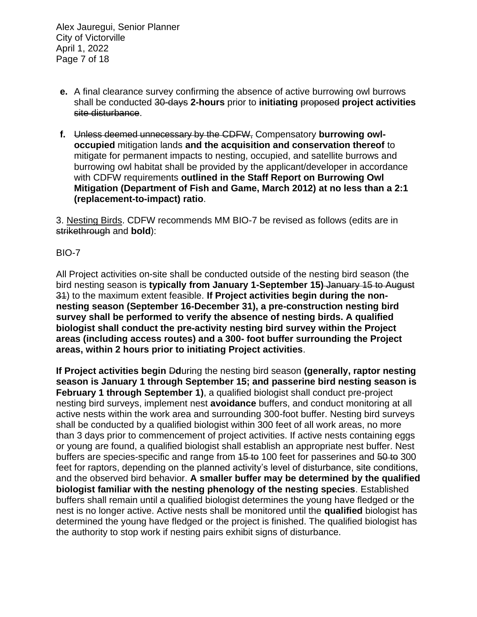Alex Jauregui, Senior Planner City of Victorville April 1, 2022 Page 7 of 18

- **e.** A final clearance survey confirming the absence of active burrowing owl burrows shall be conducted 30-days **2-hours** prior to **initiating** proposed **project activities** site disturbance.
- **f.** Unless deemed unnecessary by the CDFW, Compensatory **burrowing owloccupied** mitigation lands **and the acquisition and conservation thereof** to mitigate for permanent impacts to nesting, occupied, and satellite burrows and burrowing owl habitat shall be provided by the applicant/developer in accordance with CDFW requirements **outlined in the Staff Report on Burrowing Owl Mitigation (Department of Fish and Game, March 2012) at no less than a 2:1 (replacement-to-impact) ratio**.

3. Nesting Birds. CDFW recommends MM BIO-7 be revised as follows (edits are in strikethrough and **bold**):

## BIO-7

All Project activities on-site shall be conducted outside of the nesting bird season (the bird nesting season is **typically from January 1-September 15)** January 15 to August 31) to the maximum extent feasible. **If Project activities begin during the nonnesting season (September 16-December 31), a pre-construction nesting bird survey shall be performed to verify the absence of nesting birds. A qualified biologist shall conduct the pre-activity nesting bird survey within the Project areas (including access routes) and a 300- foot buffer surrounding the Project areas, within 2 hours prior to initiating Project activities**.

**If Project activities begin <b>D**during the nesting bird season **(generally, raptor nesting season is January 1 through September 15; and passerine bird nesting season is February 1 through September 1)**, a qualified biologist shall conduct pre-project nesting bird surveys, implement nest **avoidance** buffers, and conduct monitoring at all active nests within the work area and surrounding 300-foot buffer. Nesting bird surveys shall be conducted by a qualified biologist within 300 feet of all work areas, no more than 3 days prior to commencement of project activities. If active nests containing eggs or young are found, a qualified biologist shall establish an appropriate nest buffer. Nest buffers are species-specific and range from 15 to 100 feet for passerines and 50 to 300 feet for raptors, depending on the planned activity's level of disturbance, site conditions, and the observed bird behavior. **A smaller buffer may be determined by the qualified biologist familiar with the nesting phenology of the nesting species**. Established buffers shall remain until a qualified biologist determines the young have fledged or the nest is no longer active. Active nests shall be monitored until the **qualified** biologist has determined the young have fledged or the project is finished. The qualified biologist has the authority to stop work if nesting pairs exhibit signs of disturbance.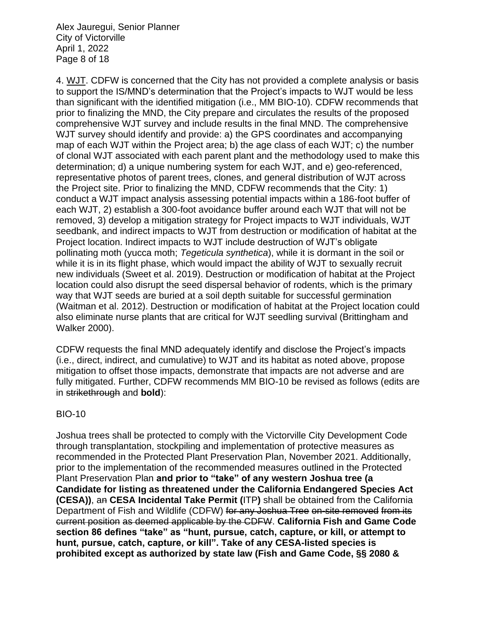Alex Jauregui, Senior Planner City of Victorville April 1, 2022 Page 8 of 18

4. WJT. CDFW is concerned that the City has not provided a complete analysis or basis to support the IS/MND's determination that the Project's impacts to WJT would be less than significant with the identified mitigation (i.e., MM BIO-10). CDFW recommends that prior to finalizing the MND, the City prepare and circulates the results of the proposed comprehensive WJT survey and include results in the final MND. The comprehensive WJT survey should identify and provide: a) the GPS coordinates and accompanying map of each WJT within the Project area; b) the age class of each WJT; c) the number of clonal WJT associated with each parent plant and the methodology used to make this determination; d) a unique numbering system for each WJT, and e) geo-referenced, representative photos of parent trees, clones, and general distribution of WJT across the Project site. Prior to finalizing the MND, CDFW recommends that the City: 1) conduct a WJT impact analysis assessing potential impacts within a 186-foot buffer of each WJT, 2) establish a 300-foot avoidance buffer around each WJT that will not be removed, 3) develop a mitigation strategy for Project impacts to WJT individuals, WJT seedbank, and indirect impacts to WJT from destruction or modification of habitat at the Project location. Indirect impacts to WJT include destruction of WJT's obligate pollinating moth (yucca moth; *Tegeticula synthetica*), while it is dormant in the soil or while it is in its flight phase, which would impact the ability of WJT to sexually recruit new individuals (Sweet et al. 2019). Destruction or modification of habitat at the Project location could also disrupt the seed dispersal behavior of rodents, which is the primary way that WJT seeds are buried at a soil depth suitable for successful germination (Waitman et al. 2012). Destruction or modification of habitat at the Project location could also eliminate nurse plants that are critical for WJT seedling survival (Brittingham and Walker 2000).

CDFW requests the final MND adequately identify and disclose the Project's impacts (i.e., direct, indirect, and cumulative) to WJT and its habitat as noted above, propose mitigation to offset those impacts, demonstrate that impacts are not adverse and are fully mitigated. Further, CDFW recommends MM BIO-10 be revised as follows (edits are in strikethrough and **bold**):

#### BIO-10

Joshua trees shall be protected to comply with the Victorville City Development Code through transplantation, stockpiling and implementation of protective measures as recommended in the Protected Plant Preservation Plan, November 2021. Additionally, prior to the implementation of the recommended measures outlined in the Protected Plant Preservation Plan **and prior to "take" of any western Joshua tree (a Candidate for listing as threatened under the California Endangered Species Act (CESA))**, an **CESA Incidental Take Permit (**ITP**)** shall be obtained from the California Department of Fish and Wildlife (CDFW) for any Joshua Tree on-site removed from its current position as deemed applicable by the CDFW. **California Fish and Game Code section 86 defines "take" as "hunt, pursue, catch, capture, or kill, or attempt to hunt, pursue, catch, capture, or kill". Take of any CESA-listed species is prohibited except as authorized by state law (Fish and Game Code, §§ 2080 &**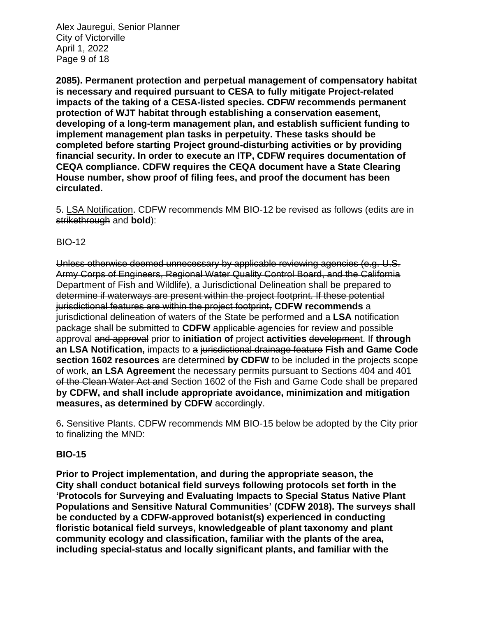Alex Jauregui, Senior Planner City of Victorville April 1, 2022 Page 9 of 18

**2085). Permanent protection and perpetual management of compensatory habitat is necessary and required pursuant to CESA to fully mitigate Project-related impacts of the taking of a CESA-listed species. CDFW recommends permanent protection of WJT habitat through establishing a conservation easement, developing of a long-term management plan, and establish sufficient funding to implement management plan tasks in perpetuity. These tasks should be completed before starting Project ground-disturbing activities or by providing financial security. In order to execute an ITP, CDFW requires documentation of CEQA compliance. CDFW requires the CEQA document have a State Clearing House number, show proof of filing fees, and proof the document has been circulated.**

5. LSA Notification. CDFW recommends MM BIO-12 be revised as follows (edits are in strikethrough and **bold**):

## BIO-12

Unless otherwise deemed unnecessary by applicable reviewing agencies (e.g. U.S. Army Corps of Engineers, Regional Water Quality Control Board, and the California Department of Fish and Wildlife), a Jurisdictional Delineation shall be prepared to determine if waterways are present within the project footprint. If these potential jurisdictional features are within the project footprint, **CDFW recommends** a jurisdictional delineation of waters of the State be performed and a **LSA** notification package shall be submitted to **CDFW** applicable agencies for review and possible approval and approval prior to **initiation of** project **activities** development. If **through an LSA Notification,** impacts to a jurisdictional drainage feature **Fish and Game Code section 1602 resources** are determined **by CDFW** to be included in the projects scope of work, **an LSA Agreement** the necessary permits pursuant to Sections 404 and 401 of the Clean Water Act and Section 1602 of the Fish and Game Code shall be prepared **by CDFW, and shall include appropriate avoidance, minimization and mitigation** measures, as determined by CDFW accordingly.

6**.** Sensitive Plants. CDFW recommends MM BIO-15 below be adopted by the City prior to finalizing the MND:

#### **BIO-15**

**Prior to Project implementation, and during the appropriate season, the City shall conduct botanical field surveys following protocols set forth in the 'Protocols for Surveying and Evaluating Impacts to Special Status Native Plant Populations and Sensitive Natural Communities' (CDFW 2018). The surveys shall be conducted by a CDFW-approved botanist(s) experienced in conducting floristic botanical field surveys, knowledgeable of plant taxonomy and plant community ecology and classification, familiar with the plants of the area, including special-status and locally significant plants, and familiar with the**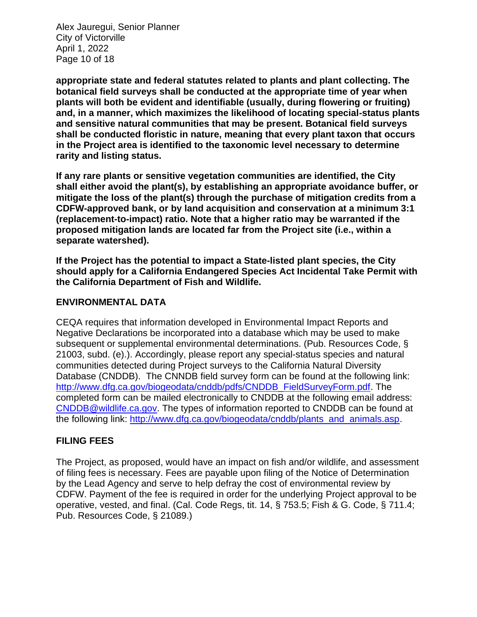Alex Jauregui, Senior Planner City of Victorville April 1, 2022 Page 10 of 18

**appropriate state and federal statutes related to plants and plant collecting. The botanical field surveys shall be conducted at the appropriate time of year when plants will both be evident and identifiable (usually, during flowering or fruiting) and, in a manner, which maximizes the likelihood of locating special-status plants and sensitive natural communities that may be present. Botanical field surveys shall be conducted floristic in nature, meaning that every plant taxon that occurs in the Project area is identified to the taxonomic level necessary to determine rarity and listing status.**

**If any rare plants or sensitive vegetation communities are identified, the City shall either avoid the plant(s), by establishing an appropriate avoidance buffer, or mitigate the loss of the plant(s) through the purchase of mitigation credits from a CDFW-approved bank, or by land acquisition and conservation at a minimum 3:1 (replacement-to-impact) ratio. Note that a higher ratio may be warranted if the proposed mitigation lands are located far from the Project site (i.e., within a separate watershed).**

**If the Project has the potential to impact a State-listed plant species, the City should apply for a California Endangered Species Act Incidental Take Permit with the California Department of Fish and Wildlife.**

## **ENVIRONMENTAL DATA**

CEQA requires that information developed in Environmental Impact Reports and Negative Declarations be incorporated into a database which may be used to make subsequent or supplemental environmental determinations. (Pub. Resources Code, § 21003, subd. (e).). Accordingly, please report any special-status species and natural communities detected during Project surveys to the California Natural Diversity Database (CNDDB). The CNNDB field survey form can be found at the following link: [http://www.dfg.ca.gov/biogeodata/cnddb/pdfs/CNDDB\\_FieldSurveyForm.pdf.](http://www.dfg.ca.gov/biogeodata/cnddb/pdfs/CNDDB_FieldSurveyForm.pdf) The completed form can be mailed electronically to CNDDB at the following email address: [CNDDB@wildlife.ca.gov.](mailto:cnddb@dfg.ca.gov) The types of information reported to CNDDB can be found at the following link: [http://www.dfg.ca.gov/biogeodata/cnddb/plants\\_and\\_animals.asp.](http://www.dfg.ca.gov/biogeodata/cnddb/plants_and_animals.asp)

## **FILING FEES**

The Project, as proposed, would have an impact on fish and/or wildlife, and assessment of filing fees is necessary. Fees are payable upon filing of the Notice of Determination by the Lead Agency and serve to help defray the cost of environmental review by CDFW. Payment of the fee is required in order for the underlying Project approval to be operative, vested, and final. (Cal. Code Regs, tit. 14, § 753.5; Fish & G. Code, § 711.4; Pub. Resources Code, § 21089.)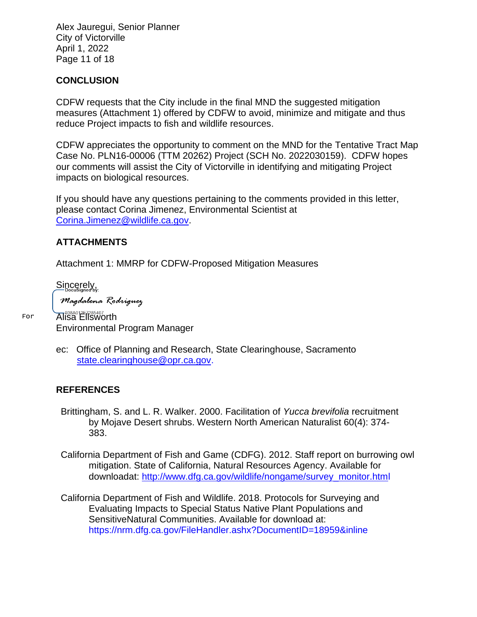Alex Jauregui, Senior Planner City of Victorville April 1, 2022 Page 11 of 18

### **CONCLUSION**

CDFW requests that the City include in the final MND the suggested mitigation measures (Attachment 1) offered by CDFW to avoid, minimize and mitigate and thus reduce Project impacts to fish and wildlife resources.

CDFW appreciates the opportunity to comment on the MND for the Tentative Tract Map Case No. PLN16-00006 (TTM 20262) Project (SCH No. 2022030159). CDFW hopes our comments will assist the City of Victorville in identifying and mitigating Project impacts on biological resources.

If you should have any questions pertaining to the comments provided in this letter, please contact Corina Jimenez, Environmental Scientist at [Corina.Jimenez@wildlife.ca.gov.](mailto:Corina.Jimenez@wildlife.ca.gov)

## **ATTACHMENTS**

Attachment 1: MMRP for CDFW-Proposed Mitigation Measures

Sincerely,

Magdalena Rodriguez

Alisa Ellsworth Environmental Program Manager

ec: Office of Planning and Research, State Clearinghouse, Sacramento [state.clearinghouse@opr.ca.gov.](mailto:state.clearinghouse@opr.ca.gov)

#### **REFERENCES**

- Brittingham, S. and L. R. Walker. 2000. Facilitation of *Yucca brevifolia* recruitment by Mojave Desert shrubs. Western North American Naturalist 60(4): 374- 383.
- California Department of Fish and Game (CDFG). 2012. Staff report on burrowing owl mitigation. State of California, Natural Resources Agency. Available for downloadat: [http://www.dfg.ca.gov/wildlife/nongame/survey\\_monitor.html](http://www.dfg.ca.gov/wildlife/nongame/survey_monitor.html)
- California Department of Fish and Wildlife. 2018. Protocols for Surveying and Evaluating Impacts to Special Status Native Plant Populations and SensitiveNatural Communities. Available for download at: https://nrm.dfg.ca.gov/FileHandler.ashx?DocumentID=18959&inline

For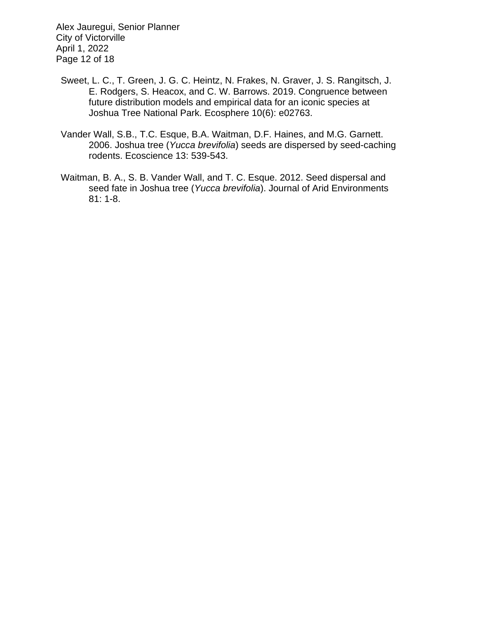Alex Jauregui, Senior Planner City of Victorville April 1, 2022 Page 12 of 18

- Sweet, L. C., T. Green, J. G. C. Heintz, N. Frakes, N. Graver, J. S. Rangitsch, J. E. Rodgers, S. Heacox, and C. W. Barrows. 2019. Congruence between future distribution models and empirical data for an iconic species at Joshua Tree National Park. Ecosphere 10(6): e02763.
- Vander Wall, S.B., T.C. Esque, B.A. Waitman, D.F. Haines, and M.G. Garnett. 2006. Joshua tree (*Yucca brevifolia*) seeds are dispersed by seed-caching rodents. Ecoscience 13: 539-543.
- Waitman, B. A., S. B. Vander Wall, and T. C. Esque. 2012. Seed dispersal and seed fate in Joshua tree (*Yucca brevifolia*). Journal of Arid Environments 81: 1-8.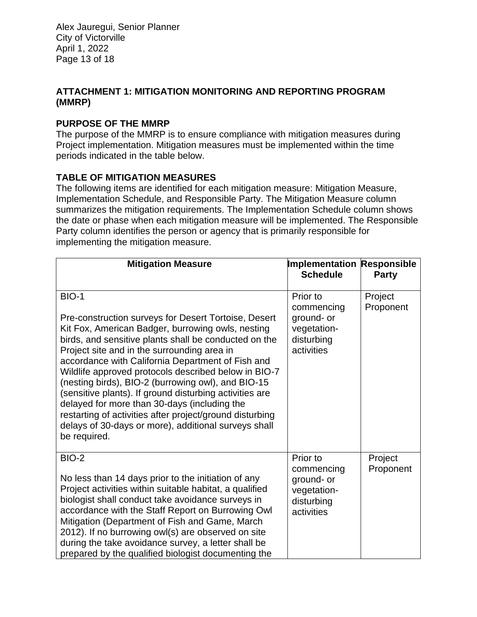Alex Jauregui, Senior Planner City of Victorville April 1, 2022 Page 13 of 18

## **ATTACHMENT 1: MITIGATION MONITORING AND REPORTING PROGRAM (MMRP)**

## **PURPOSE OF THE MMRP**

The purpose of the MMRP is to ensure compliance with mitigation measures during Project implementation. Mitigation measures must be implemented within the time periods indicated in the table below.

## **TABLE OF MITIGATION MEASURES**

The following items are identified for each mitigation measure: Mitigation Measure, Implementation Schedule, and Responsible Party. The Mitigation Measure column summarizes the mitigation requirements. The Implementation Schedule column shows the date or phase when each mitigation measure will be implemented. The Responsible Party column identifies the person or agency that is primarily responsible for implementing the mitigation measure.

| <b>Mitigation Measure</b>                                                                                                                                                                                                                                                                                                                                                                                                                                                                                                                                                                                                                           | <b>Implementation Responsible</b><br><b>Schedule</b>                            | <b>Party</b>         |
|-----------------------------------------------------------------------------------------------------------------------------------------------------------------------------------------------------------------------------------------------------------------------------------------------------------------------------------------------------------------------------------------------------------------------------------------------------------------------------------------------------------------------------------------------------------------------------------------------------------------------------------------------------|---------------------------------------------------------------------------------|----------------------|
|                                                                                                                                                                                                                                                                                                                                                                                                                                                                                                                                                                                                                                                     |                                                                                 |                      |
| <b>BIO-1</b><br>Pre-construction surveys for Desert Tortoise, Desert<br>Kit Fox, American Badger, burrowing owls, nesting<br>birds, and sensitive plants shall be conducted on the<br>Project site and in the surrounding area in<br>accordance with California Department of Fish and<br>Wildlife approved protocols described below in BIO-7<br>(nesting birds), BIO-2 (burrowing owl), and BIO-15<br>(sensitive plants). If ground disturbing activities are<br>delayed for more than 30-days (including the<br>restarting of activities after project/ground disturbing<br>delays of 30-days or more), additional surveys shall<br>be required. | Prior to<br>commencing<br>ground- or<br>vegetation-<br>disturbing<br>activities | Project<br>Proponent |
| <b>BIO-2</b><br>No less than 14 days prior to the initiation of any<br>Project activities within suitable habitat, a qualified<br>biologist shall conduct take avoidance surveys in<br>accordance with the Staff Report on Burrowing Owl<br>Mitigation (Department of Fish and Game, March<br>2012). If no burrowing owl(s) are observed on site<br>during the take avoidance survey, a letter shall be<br>prepared by the qualified biologist documenting the                                                                                                                                                                                      | Prior to<br>commencing<br>ground- or<br>vegetation-<br>disturbing<br>activities | Project<br>Proponent |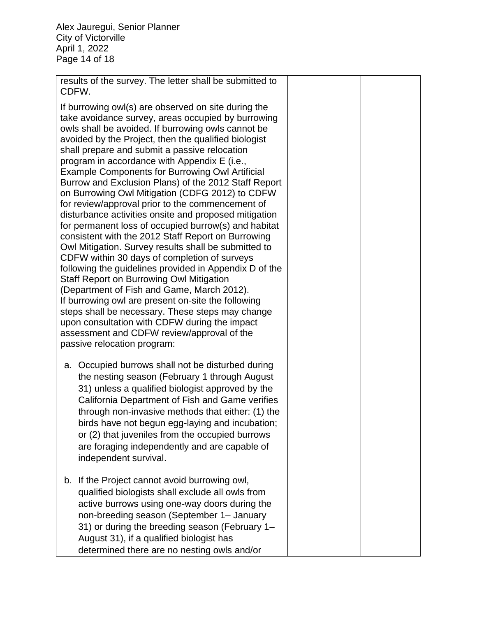Alex Jauregui, Senior Planner City of Victorville April 1, 2022 Page 14 of 18

results of the survey. The letter shall be submitted to CDFW.

If burrowing owl(s) are observed on site during the take avoidance survey, areas occupied by burrowing owls shall be avoided. If burrowing owls cannot be avoided by the Project, then the qualified biologist shall prepare and submit a passive relocation program in accordance with Appendix E (i.e., Example Components for Burrowing Owl Artificial Burrow and Exclusion Plans) of the 2012 Staff Report on Burrowing Owl Mitigation (CDFG 2012) to CDFW for review/approval prior to the commencement of disturbance activities onsite and proposed mitigation for permanent loss of occupied burrow(s) and habitat consistent with the 2012 Staff Report on Burrowing Owl Mitigation. Survey results shall be submitted to CDFW within 30 days of completion of surveys following the guidelines provided in Appendix D of the Staff Report on Burrowing Owl Mitigation (Department of Fish and Game, March 2012). If burrowing owl are present on-site the following steps shall be necessary. These steps may change upon consultation with CDFW during the impact assessment and CDFW review/approval of the passive relocation program:

- a. Occupied burrows shall not be disturbed during the nesting season (February 1 through August 31) unless a qualified biologist approved by the California Department of Fish and Game verifies through non-invasive methods that either: (1) the birds have not begun egg-laying and incubation; or (2) that juveniles from the occupied burrows are foraging independently and are capable of independent survival.
- b. If the Project cannot avoid burrowing owl, qualified biologists shall exclude all owls from active burrows using one-way doors during the non-breeding season (September 1– January 31) or during the breeding season (February 1– August 31), if a qualified biologist has determined there are no nesting owls and/or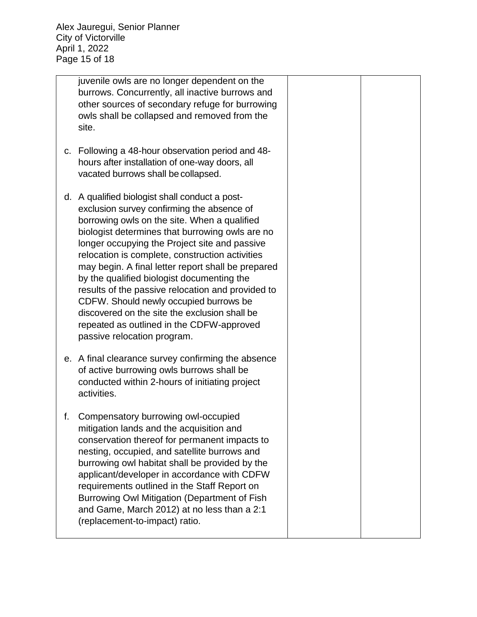juvenile owls are no longer dependent on the burrows. Concurrently, all inactive burrows and other sources of secondary refuge for burrowing owls shall be collapsed and removed from the site. c. Following a 48-hour observation period and 48 hours after installation of one-way doors, all vacated burrows shall be collapsed. d. A qualified biologist shall conduct a postexclusion survey confirming the absence of borrowing owls on the site. When a qualified biologist determines that burrowing owls are no longer occupying the Project site and passive relocation is complete, construction activities may begin. A final letter report shall be prepared by the qualified biologist documenting the results of the passive relocation and provided to CDFW. Should newly occupied burrows be discovered on the site the exclusion shall be repeated as outlined in the CDFW-approved passive relocation program. e. A final clearance survey confirming the absence of active burrowing owls burrows shall be conducted within 2-hours of initiating project activities. f. Compensatory burrowing owl-occupied mitigation lands and the acquisition and conservation thereof for permanent impacts to nesting, occupied, and satellite burrows and burrowing owl habitat shall be provided by the applicant/developer in accordance with CDFW requirements outlined in the Staff Report on Burrowing Owl Mitigation (Department of Fish and Game, March 2012) at no less than a 2:1 (replacement-to-impact) ratio.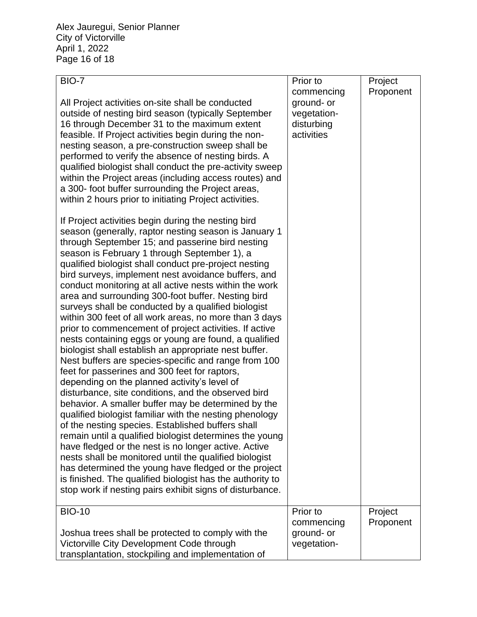Alex Jauregui, Senior Planner City of Victorville April 1, 2022 Page 16 of 18

| <b>BIO-7</b>                                                                                                                                                                                                                                                                                                                                                                                                                                                                                                                                                                                                                                                                                                                                                                                                                                                                                                                                                                                                                                                                                                                                                                                                                                                                                                                                                                                                                                                                                       | Prior to                                                            | Project              |
|----------------------------------------------------------------------------------------------------------------------------------------------------------------------------------------------------------------------------------------------------------------------------------------------------------------------------------------------------------------------------------------------------------------------------------------------------------------------------------------------------------------------------------------------------------------------------------------------------------------------------------------------------------------------------------------------------------------------------------------------------------------------------------------------------------------------------------------------------------------------------------------------------------------------------------------------------------------------------------------------------------------------------------------------------------------------------------------------------------------------------------------------------------------------------------------------------------------------------------------------------------------------------------------------------------------------------------------------------------------------------------------------------------------------------------------------------------------------------------------------------|---------------------------------------------------------------------|----------------------|
| All Project activities on-site shall be conducted<br>outside of nesting bird season (typically September<br>16 through December 31 to the maximum extent<br>feasible. If Project activities begin during the non-<br>nesting season, a pre-construction sweep shall be<br>performed to verify the absence of nesting birds. A<br>qualified biologist shall conduct the pre-activity sweep<br>within the Project areas (including access routes) and<br>a 300- foot buffer surrounding the Project areas,<br>within 2 hours prior to initiating Project activities.                                                                                                                                                                                                                                                                                                                                                                                                                                                                                                                                                                                                                                                                                                                                                                                                                                                                                                                                 | commencing<br>ground- or<br>vegetation-<br>disturbing<br>activities | Proponent            |
| If Project activities begin during the nesting bird<br>season (generally, raptor nesting season is January 1<br>through September 15; and passerine bird nesting<br>season is February 1 through September 1), a<br>qualified biologist shall conduct pre-project nesting<br>bird surveys, implement nest avoidance buffers, and<br>conduct monitoring at all active nests within the work<br>area and surrounding 300-foot buffer. Nesting bird<br>surveys shall be conducted by a qualified biologist<br>within 300 feet of all work areas, no more than 3 days<br>prior to commencement of project activities. If active<br>nests containing eggs or young are found, a qualified<br>biologist shall establish an appropriate nest buffer.<br>Nest buffers are species-specific and range from 100<br>feet for passerines and 300 feet for raptors,<br>depending on the planned activity's level of<br>disturbance, site conditions, and the observed bird<br>behavior. A smaller buffer may be determined by the<br>qualified biologist familiar with the nesting phenology<br>of the nesting species. Established buffers shall<br>remain until a qualified biologist determines the young<br>have fledged or the nest is no longer active. Active<br>nests shall be monitored until the qualified biologist<br>has determined the young have fledged or the project<br>is finished. The qualified biologist has the authority to<br>stop work if nesting pairs exhibit signs of disturbance. |                                                                     |                      |
| <b>BIO-10</b>                                                                                                                                                                                                                                                                                                                                                                                                                                                                                                                                                                                                                                                                                                                                                                                                                                                                                                                                                                                                                                                                                                                                                                                                                                                                                                                                                                                                                                                                                      | Prior to<br>commencing                                              | Project<br>Proponent |
| Joshua trees shall be protected to comply with the<br>Victorville City Development Code through<br>transplantation, stockpiling and implementation of                                                                                                                                                                                                                                                                                                                                                                                                                                                                                                                                                                                                                                                                                                                                                                                                                                                                                                                                                                                                                                                                                                                                                                                                                                                                                                                                              | ground- or<br>vegetation-                                           |                      |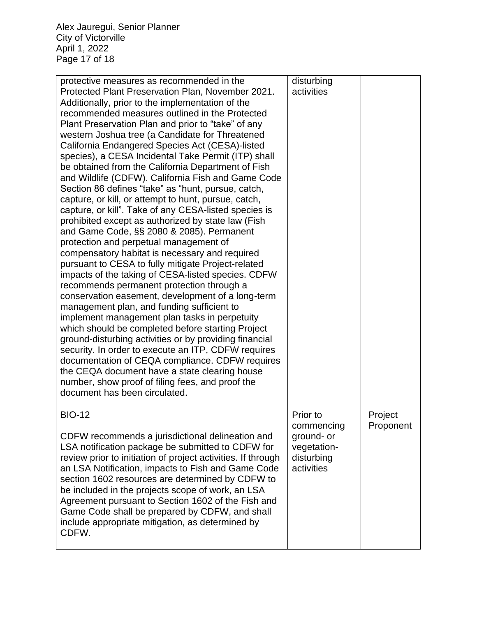Alex Jauregui, Senior Planner City of Victorville April 1, 2022 Page 17 of 18

| protective measures as recommended in the<br>Protected Plant Preservation Plan, November 2021.<br>Additionally, prior to the implementation of the<br>recommended measures outlined in the Protected<br>Plant Preservation Plan and prior to "take" of any<br>western Joshua tree (a Candidate for Threatened<br>California Endangered Species Act (CESA)-listed<br>species), a CESA Incidental Take Permit (ITP) shall<br>be obtained from the California Department of Fish<br>and Wildlife (CDFW). California Fish and Game Code<br>Section 86 defines "take" as "hunt, pursue, catch,<br>capture, or kill, or attempt to hunt, pursue, catch,<br>capture, or kill". Take of any CESA-listed species is<br>prohibited except as authorized by state law (Fish<br>and Game Code, §§ 2080 & 2085). Permanent<br>protection and perpetual management of<br>compensatory habitat is necessary and required<br>pursuant to CESA to fully mitigate Project-related<br>impacts of the taking of CESA-listed species. CDFW<br>recommends permanent protection through a<br>conservation easement, development of a long-term<br>management plan, and funding sufficient to<br>implement management plan tasks in perpetuity<br>which should be completed before starting Project<br>ground-disturbing activities or by providing financial<br>security. In order to execute an ITP, CDFW requires<br>documentation of CEQA compliance. CDFW requires<br>the CEQA document have a state clearing house<br>number, show proof of filing fees, and proof the<br>document has been circulated. | disturbing<br>activities                                            |           |
|---------------------------------------------------------------------------------------------------------------------------------------------------------------------------------------------------------------------------------------------------------------------------------------------------------------------------------------------------------------------------------------------------------------------------------------------------------------------------------------------------------------------------------------------------------------------------------------------------------------------------------------------------------------------------------------------------------------------------------------------------------------------------------------------------------------------------------------------------------------------------------------------------------------------------------------------------------------------------------------------------------------------------------------------------------------------------------------------------------------------------------------------------------------------------------------------------------------------------------------------------------------------------------------------------------------------------------------------------------------------------------------------------------------------------------------------------------------------------------------------------------------------------------------------------------------------------------------|---------------------------------------------------------------------|-----------|
| <b>BIO-12</b>                                                                                                                                                                                                                                                                                                                                                                                                                                                                                                                                                                                                                                                                                                                                                                                                                                                                                                                                                                                                                                                                                                                                                                                                                                                                                                                                                                                                                                                                                                                                                                         | Prior to                                                            | Project   |
| CDFW recommends a jurisdictional delineation and<br>LSA notification package be submitted to CDFW for<br>review prior to initiation of project activities. If through<br>an LSA Notification, impacts to Fish and Game Code<br>section 1602 resources are determined by CDFW to<br>be included in the projects scope of work, an LSA<br>Agreement pursuant to Section 1602 of the Fish and<br>Game Code shall be prepared by CDFW, and shall<br>include appropriate mitigation, as determined by<br>CDFW.                                                                                                                                                                                                                                                                                                                                                                                                                                                                                                                                                                                                                                                                                                                                                                                                                                                                                                                                                                                                                                                                             | commencing<br>ground- or<br>vegetation-<br>disturbing<br>activities | Proponent |